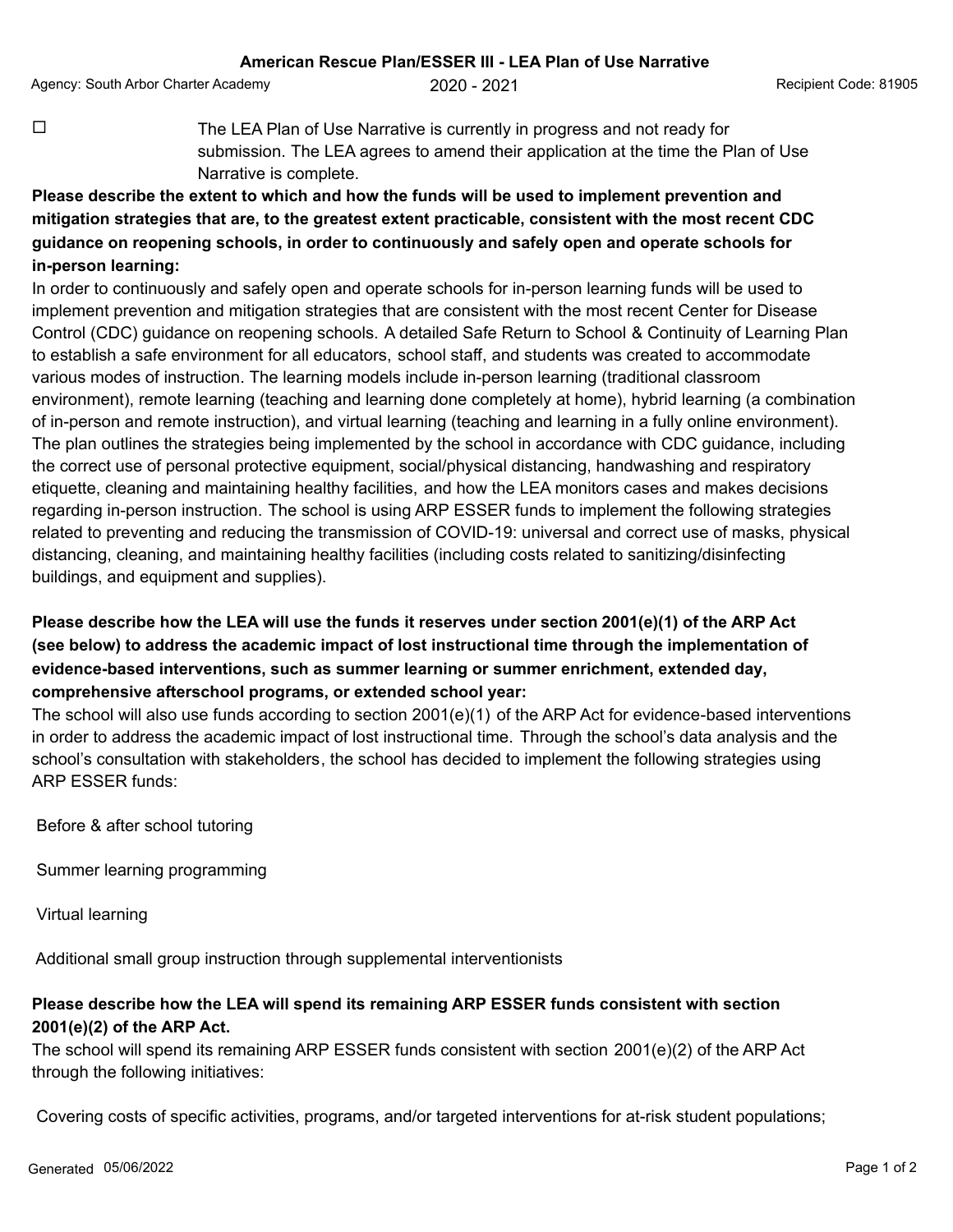Agency: South Arbor Charter Academy  $2020 - 2021$  Recipient Code: 81905

 $\Box$  The LEA Plan of Use Narrative is currently in progress and not ready for submission. The LEA agrees to amend their application at the time the Plan of Use Narrative is complete.

## **Please describe the extent to which and how the funds will be used to implement prevention and mitigation strategies that are, to the greatest extent practicable, consistent with the most recent CDC guidance on reopening schools, in order to continuously and safely open and operate schools for in-person learning:**

In order to continuously and safely open and operate schools for in-person learning funds will be used to implement prevention and mitigation strategies that are consistent with the most recent Center for Disease Control (CDC) guidance on reopening schools. A detailed Safe Return to School & Continuity of Learning Plan to establish a safe environment for all educators, school staff, and students was created to accommodate various modes of instruction. The learning models include in-person learning (traditional classroom environment), remote learning (teaching and learning done completely at home), hybrid learning (a combination of in-person and remote instruction), and virtual learning (teaching and learning in a fully online environment). The plan outlines the strategies being implemented by the school in accordance with CDC guidance, including the correct use of personal protective equipment, social/physical distancing, handwashing and respiratory etiquette, cleaning and maintaining healthy facilities, and how the LEA monitors cases and makes decisions regarding in-person instruction. The school is using ARP ESSER funds to implement the following strategies related to preventing and reducing the transmission of COVID-19: universal and correct use of masks, physical distancing, cleaning, and maintaining healthy facilities (including costs related to sanitizing/disinfecting buildings, and equipment and supplies).

## **Please describe how the LEA will use the funds it reserves under section 2001(e)(1) of the ARP Act (see below) to address the academic impact of lost instructional time through the implementation of evidence-based interventions, such as summer learning or summer enrichment, extended day, comprehensive afterschool programs, or extended school year:**

The school will also use funds according to section 2001(e)(1) of the ARP Act for evidence-based interventions in order to address the academic impact of lost instructional time. Through the school's data analysis and the school's consultation with stakeholders, the school has decided to implement the following strategies using ARP ESSER funds:

Before & after school tutoring

Summer learning programming

Virtual learning

Additional small group instruction through supplemental interventionists

## **Please describe how the LEA will spend its remaining ARP ESSER funds consistent with section 2001(e)(2) of the ARP Act.**

The school will spend its remaining ARP ESSER funds consistent with section 2001(e)(2) of the ARP Act through the following initiatives:

Covering costs of specific activities, programs, and/or targeted interventions for at-risk student populations;